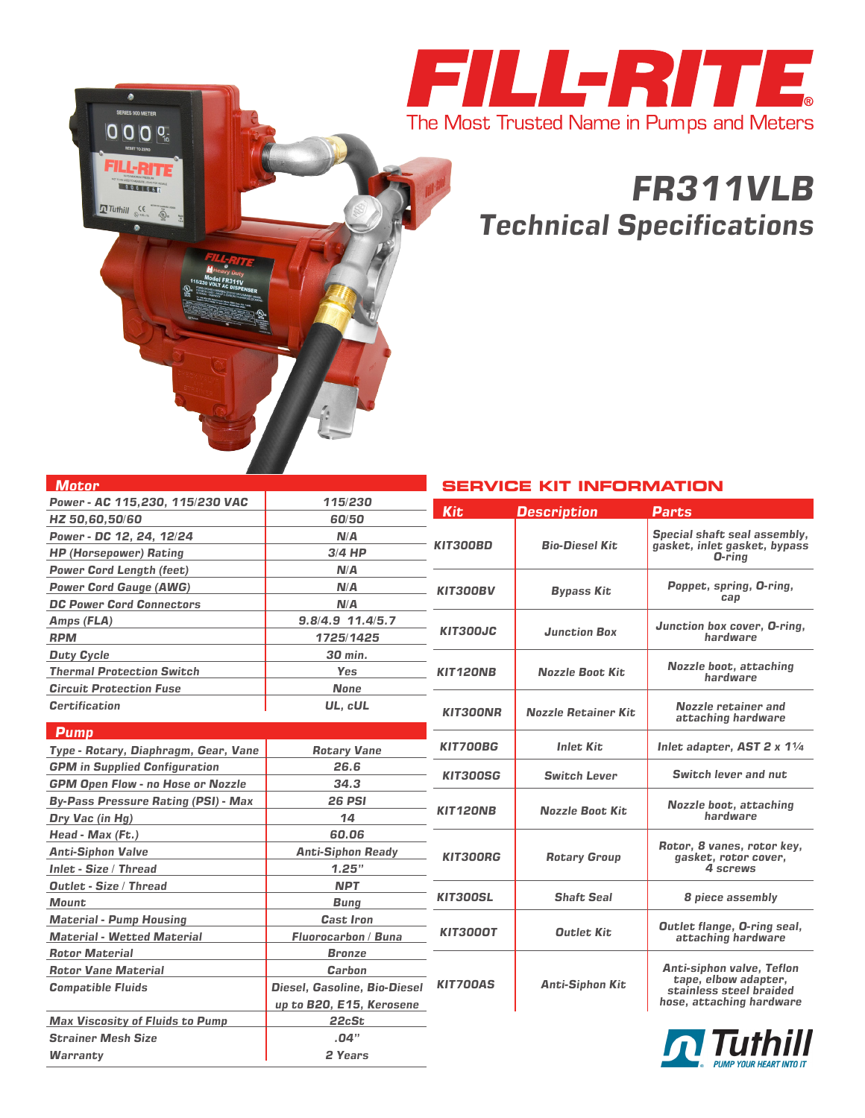

## *FR311VLB Technical Specifications*

| <b>Motor</b>                               |                                     |                                        | <b>SERVICE KIT INFORMATION</b> |                                                                                                                 |  |
|--------------------------------------------|-------------------------------------|----------------------------------------|--------------------------------|-----------------------------------------------------------------------------------------------------------------|--|
| Power - AC 115,230, 115/230 VAC            | 115/230                             | <b>Kit</b>                             | <b>Description</b>             | <b>Parts</b>                                                                                                    |  |
| HZ 50,60,50/60                             | 60/50                               |                                        |                                |                                                                                                                 |  |
| Power - DC 12, 24, 12/24                   | N/A                                 | KIT300BD                               | <b>Bio-Diesel Kit</b>          | Special shaft seal assembly,<br>gasket, inlet gasket, bypass                                                    |  |
| <b>HP (Horsepower) Rating</b>              | $3/4$ HP                            |                                        |                                | O-rina                                                                                                          |  |
| <b>Power Cord Length (feet)</b>            | N/A                                 |                                        |                                |                                                                                                                 |  |
| <b>Power Cord Gauge (AWG)</b>              | N/A                                 | <b>KIT300BV</b>                        | <b>Bypass Kit</b>              | Poppet, spring, O-ring,                                                                                         |  |
| <b>DC Power Cord Connectors</b>            | N/A                                 |                                        |                                | cap                                                                                                             |  |
| Amps (FLA)                                 | 9.8/4.9 11.4/5.7                    |                                        |                                | Junction box cover, O-ring,                                                                                     |  |
| <b>RPM</b>                                 | 1725/1425                           | <b>KIT300JC</b>                        | <b>Junction Box</b>            | hardware                                                                                                        |  |
| <b>Duty Cycle</b>                          | 30 min.                             |                                        |                                |                                                                                                                 |  |
| <b>Thermal Protection Switch</b>           | Yes                                 | KIT120NB<br><b>Nozzle Boot Kit</b>     |                                | Nozzle boot, attaching<br>hardware                                                                              |  |
| <b>Circuit Protection Fuse</b>             | <b>None</b>                         |                                        |                                |                                                                                                                 |  |
| <b>Certification</b>                       | UL, cUL                             | <b>KIT300NR</b>                        | <b>Nozzle Retainer Kit</b>     | Nozzle retainer and<br>attaching hardware                                                                       |  |
| <b>Pump</b>                                |                                     |                                        |                                |                                                                                                                 |  |
| Type - Rotary, Diaphragm, Gear, Vane       | <b>Rotary Vane</b>                  | <b>KIT700BG</b>                        | <b>Inlet Kit</b>               | Inlet adapter, $AST 2 \times 1\frac{1}{4}$                                                                      |  |
| <b>GPM</b> in Supplied Configuration       | 26.6                                | <b>KIT300SG</b>                        | <b>Switch Lever</b>            | Switch lever and nut                                                                                            |  |
| <b>GPM Open Flow - no Hose or Nozzle</b>   | 34.3                                |                                        |                                |                                                                                                                 |  |
| <b>By-Pass Pressure Rating (PSI) - Max</b> | <b>26 PSI</b>                       |                                        | <b>Nozzle Boot Kit.</b>        | Nozzle boot, attaching<br>hardware                                                                              |  |
| Dry Vac (in Hg)                            | 14                                  | KIT120NB                               |                                |                                                                                                                 |  |
| Head - Max (Ft.)                           | 60.06                               |                                        |                                |                                                                                                                 |  |
| <b>Anti-Siphon Valve</b>                   | <b>Anti-Siphon Ready</b>            | <b>KIT300RG</b><br><b>Rotary Group</b> |                                | Rotor, 8 vanes, rotor key,<br>gasket, rotor cover,                                                              |  |
| Inlet - Size / Thread                      | 1.25"                               |                                        |                                | 4 screws                                                                                                        |  |
| <b>Outlet - Size / Thread</b>              | <b>NPT</b>                          |                                        |                                |                                                                                                                 |  |
| Mount                                      | <b>Bung</b>                         | <b>KIT300SL</b><br><b>Shaft Seal</b>   |                                | 8 piece assembly                                                                                                |  |
| <b>Material - Pump Housing</b>             | <b>Cast Iron</b>                    |                                        |                                | <b>Outlet flange, O-ring seal,</b><br>attaching hardware                                                        |  |
| <b>Material - Wetted Material</b>          | <b>Fluorocarbon / Buna</b>          | <b>KIT3000T</b>                        | <b>Outlet Kit</b>              |                                                                                                                 |  |
| <b>Rotor Material</b>                      | <b>Bronze</b>                       |                                        |                                |                                                                                                                 |  |
| <b>Rotor Vane Material</b>                 | Carbon                              |                                        |                                | <b>Anti-siphon valve, Teflon</b><br>tape, elbow adapter,<br>stainless steel braided<br>hose, attaching hardware |  |
| <b>Compatible Fluids</b>                   | <b>Diesel, Gasoline, Bio-Diesel</b> | <b>KIT700AS</b>                        | <b>Anti-Siphon Kit</b>         |                                                                                                                 |  |
|                                            | up to B20, E15, Kerosene            |                                        |                                |                                                                                                                 |  |
| <b>Max Viscosity of Fluids to Pump</b>     | 22cSt                               |                                        |                                |                                                                                                                 |  |
| <b>Strainer Mesh Size</b>                  | .04"                                |                                        |                                | I Tuthill                                                                                                       |  |
| <b>Warranty</b>                            | 2 Years                             |                                        |                                |                                                                                                                 |  |

0 SERIES 900 METER **0009** 

0001062

**Tuthill**